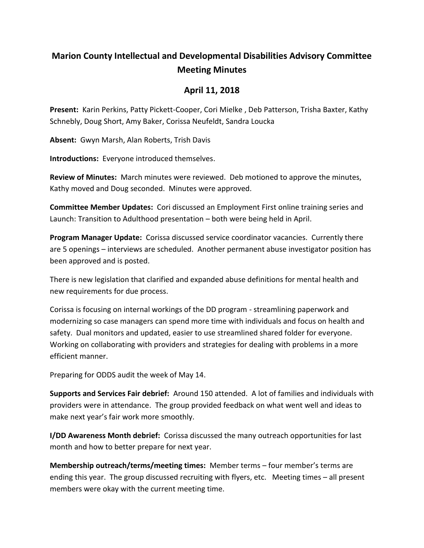## **Marion County Intellectual and Developmental Disabilities Advisory Committee Meeting Minutes**

## **April 11, 2018**

**Present:** Karin Perkins, Patty Pickett-Cooper, Cori Mielke , Deb Patterson, Trisha Baxter, Kathy Schnebly, Doug Short, Amy Baker, Corissa Neufeldt, Sandra Loucka

**Absent:** Gwyn Marsh, Alan Roberts, Trish Davis

**Introductions:** Everyone introduced themselves.

**Review of Minutes:** March minutes were reviewed. Deb motioned to approve the minutes, Kathy moved and Doug seconded. Minutes were approved.

**Committee Member Updates:** Cori discussed an Employment First online training series and Launch: Transition to Adulthood presentation – both were being held in April.

**Program Manager Update:** Corissa discussed service coordinator vacancies. Currently there are 5 openings – interviews are scheduled. Another permanent abuse investigator position has been approved and is posted.

There is new legislation that clarified and expanded abuse definitions for mental health and new requirements for due process.

Corissa is focusing on internal workings of the DD program - streamlining paperwork and modernizing so case managers can spend more time with individuals and focus on health and safety. Dual monitors and updated, easier to use streamlined shared folder for everyone. Working on collaborating with providers and strategies for dealing with problems in a more efficient manner.

Preparing for ODDS audit the week of May 14.

**Supports and Services Fair debrief:** Around 150 attended. A lot of families and individuals with providers were in attendance. The group provided feedback on what went well and ideas to make next year's fair work more smoothly.

**I/DD Awareness Month debrief:** Corissa discussed the many outreach opportunities for last month and how to better prepare for next year.

**Membership outreach/terms/meeting times:** Member terms – four member's terms are ending this year. The group discussed recruiting with flyers, etc. Meeting times – all present members were okay with the current meeting time.